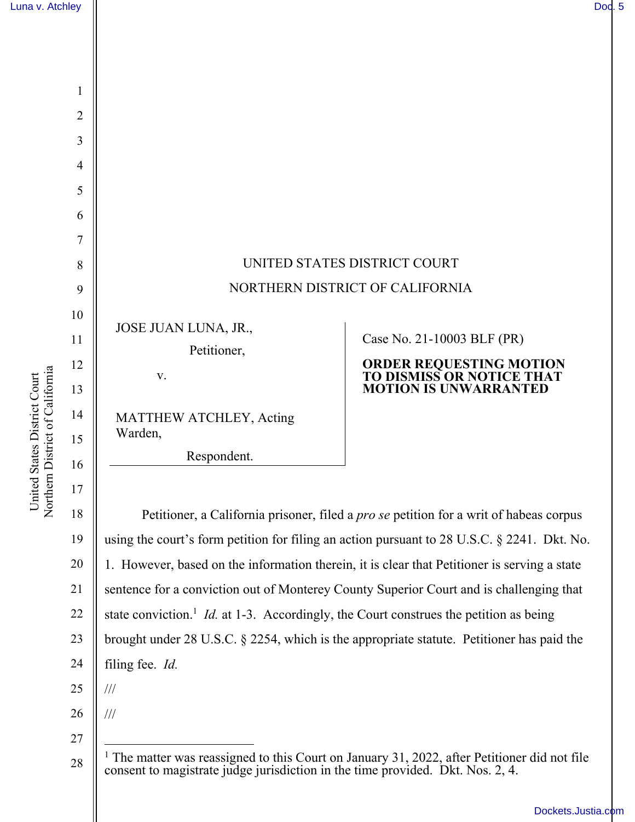

Respondent.

18 19 20 21 22 23 24 25 Petitioner, a California prisoner, filed a *pro se* petition for a writ of habeas corpus using the court's form petition for filing an action pursuant to 28 U.S.C. § 2241. Dkt. No. 1. However, based on the information therein, it is clear that Petitioner is serving a state sentence for a conviction out of Monterey County Superior Court and is challenging that state conviction.<sup>1</sup> *Id.* at 1-3. Accordingly, the Court construes the petition as being brought under 28 U.S.C. § 2254, which is the appropriate statute. Petitioner has paid the filing fee. *Id.* ///

26 ///

27

16

<sup>28</sup>  <sup>1</sup> The matter was reassigned to this Court on January 31, 2022, after Petitioner did not file consent to magistrate judge jurisdiction in the time provided. Dkt. Nos. 2, 4.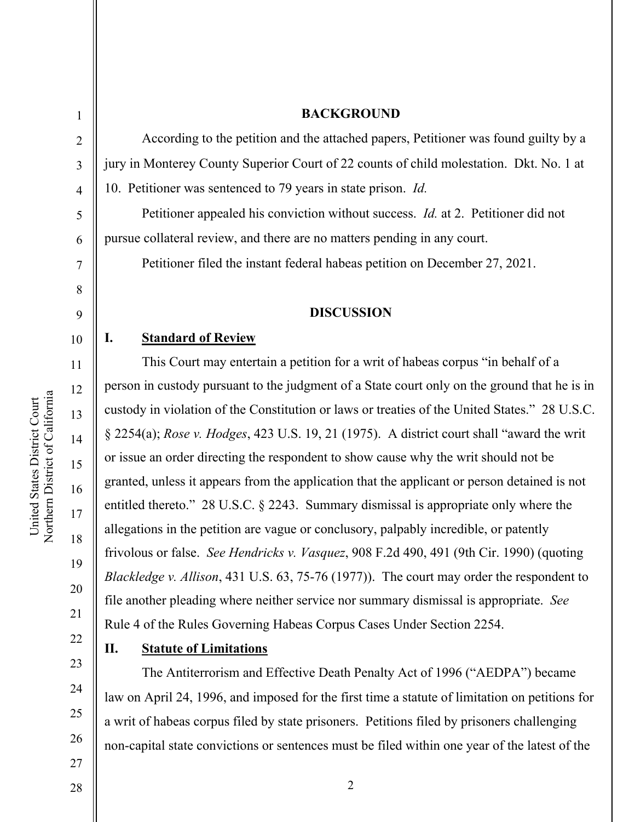1

2

3

4

5

6

7

8

9

#### **BACKGROUND**

According to the petition and the attached papers, Petitioner was found guilty by a jury in Monterey County Superior Court of 22 counts of child molestation. Dkt. No. 1 at 10. Petitioner was sentenced to 79 years in state prison. *Id.*

Petitioner appealed his conviction without success. *Id.* at 2. Petitioner did not pursue collateral review, and there are no matters pending in any court.

Petitioner filed the instant federal habeas petition on December 27, 2021.

#### **DISCUSSION**

# **I. Standard of Review**

This Court may entertain a petition for a writ of habeas corpus "in behalf of a person in custody pursuant to the judgment of a State court only on the ground that he is in custody in violation of the Constitution or laws or treaties of the United States." 28 U.S.C. § 2254(a); *Rose v. Hodges*, 423 U.S. 19, 21 (1975). A district court shall "award the writ or issue an order directing the respondent to show cause why the writ should not be granted, unless it appears from the application that the applicant or person detained is not entitled thereto." 28 U.S.C. § 2243. Summary dismissal is appropriate only where the allegations in the petition are vague or conclusory, palpably incredible, or patently frivolous or false. *See Hendricks v. Vasquez*, 908 F.2d 490, 491 (9th Cir. 1990) (quoting *Blackledge v. Allison*, 431 U.S. 63, 75-76 (1977)). The court may order the respondent to file another pleading where neither service nor summary dismissal is appropriate. *See* Rule 4 of the Rules Governing Habeas Corpus Cases Under Section 2254.

22 23

24

25

26

19

20

21

## **II. Statute of Limitations**

The Antiterrorism and Effective Death Penalty Act of 1996 ("AEDPA") became law on April 24, 1996, and imposed for the first time a statute of limitation on petitions for a writ of habeas corpus filed by state prisoners. Petitions filed by prisoners challenging non-capital state convictions or sentences must be filed within one year of the latest of the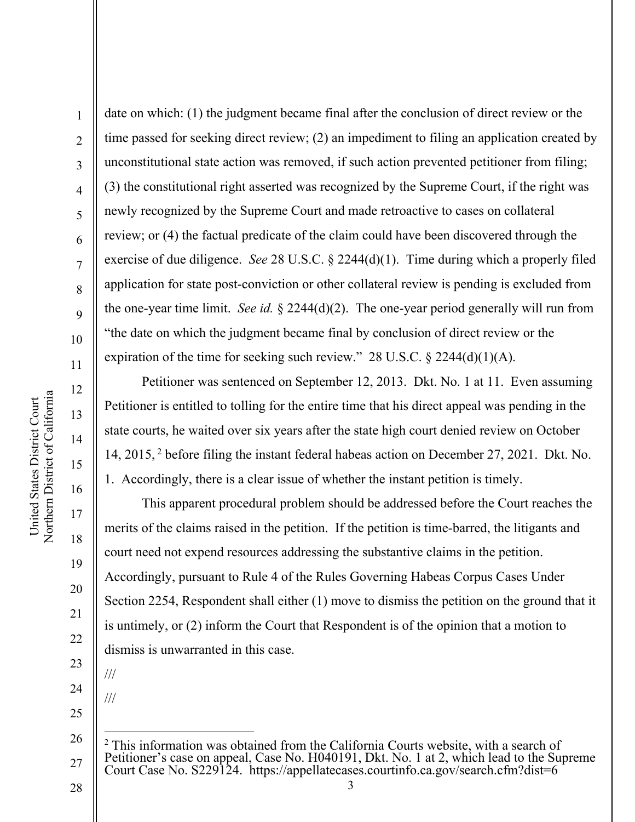1

2

3

4

5

6

7

8

9

10

11

12

13

14

15

16

17

18

19

20

21

22

23

date on which: (1) the judgment became final after the conclusion of direct review or the time passed for seeking direct review; (2) an impediment to filing an application created by unconstitutional state action was removed, if such action prevented petitioner from filing; (3) the constitutional right asserted was recognized by the Supreme Court, if the right was newly recognized by the Supreme Court and made retroactive to cases on collateral review; or (4) the factual predicate of the claim could have been discovered through the exercise of due diligence. *See* 28 U.S.C. § 2244(d)(1). Time during which a properly filed application for state post-conviction or other collateral review is pending is excluded from the one-year time limit. *See id.* § 2244(d)(2). The one-year period generally will run from "the date on which the judgment became final by conclusion of direct review or the expiration of the time for seeking such review." 28 U.S.C.  $\S$  2244(d)(1)(A).

Petitioner was sentenced on September 12, 2013. Dkt. No. 1 at 11. Even assuming Petitioner is entitled to tolling for the entire time that his direct appeal was pending in the state courts, he waited over six years after the state high court denied review on October 14, 2015, <sup>2</sup> before filing the instant federal habeas action on December 27, 2021. Dkt. No. 1. Accordingly, there is a clear issue of whether the instant petition is timely.

This apparent procedural problem should be addressed before the Court reaches the merits of the claims raised in the petition. If the petition is time-barred, the litigants and court need not expend resources addressing the substantive claims in the petition. Accordingly, pursuant to Rule 4 of the Rules Governing Habeas Corpus Cases Under Section 2254, Respondent shall either (1) move to dismiss the petition on the ground that it is untimely, or (2) inform the Court that Respondent is of the opinion that a motion to dismiss is unwarranted in this case.

24

///

///

25

<sup>26</sup>  27  $2$  This information was obtained from the California Courts website, with a search of Petitioner's case on appeal, Case No. H040191, Dkt. No. 1 at 2, which lead to the Supreme Court Case No. S229124. https://appellatecases.courtinfo.ca.gov/search.cfm?dist=6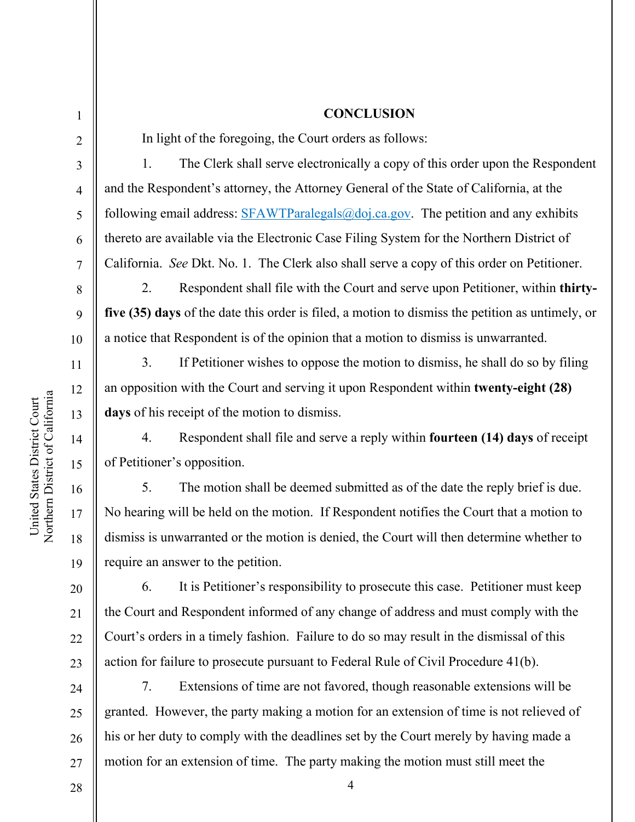# **CONCLUSION**

In light of the foregoing, the Court orders as follows:

1. The Clerk shall serve electronically a copy of this order upon the Respondent and the Respondent's attorney, the Attorney General of the State of California, at the following email address:  $SFAWTParalegals@doj.ca.gov$ . The petition and any exhibits thereto are available via the Electronic Case Filing System for the Northern District of California. *See* Dkt. No. 1. The Clerk also shall serve a copy of this order on Petitioner.

 2. Respondent shall file with the Court and serve upon Petitioner, within **thirtyfive (35) days** of the date this order is filed, a motion to dismiss the petition as untimely, or a notice that Respondent is of the opinion that a motion to dismiss is unwarranted.

 3. If Petitioner wishes to oppose the motion to dismiss, he shall do so by filing an opposition with the Court and serving it upon Respondent within **twenty-eight (28) days** of his receipt of the motion to dismiss.

 4. Respondent shall file and serve a reply within **fourteen (14) days** of receipt of Petitioner's opposition.

 5. The motion shall be deemed submitted as of the date the reply brief is due. No hearing will be held on the motion. If Respondent notifies the Court that a motion to dismiss is unwarranted or the motion is denied, the Court will then determine whether to require an answer to the petition.

 6. It is Petitioner's responsibility to prosecute this case. Petitioner must keep the Court and Respondent informed of any change of address and must comply with the Court's orders in a timely fashion. Failure to do so may result in the dismissal of this action for failure to prosecute pursuant to Federal Rule of Civil Procedure 41(b).

24 25 26 27 7. Extensions of time are not favored, though reasonable extensions will be granted. However, the party making a motion for an extension of time is not relieved of his or her duty to comply with the deadlines set by the Court merely by having made a motion for an extension of time. The party making the motion must still meet the

4

1

2

3

4

5

6

7

8

9

10

11

12

13

14

15

16

17

18

19

20

21

 $22$ 

23